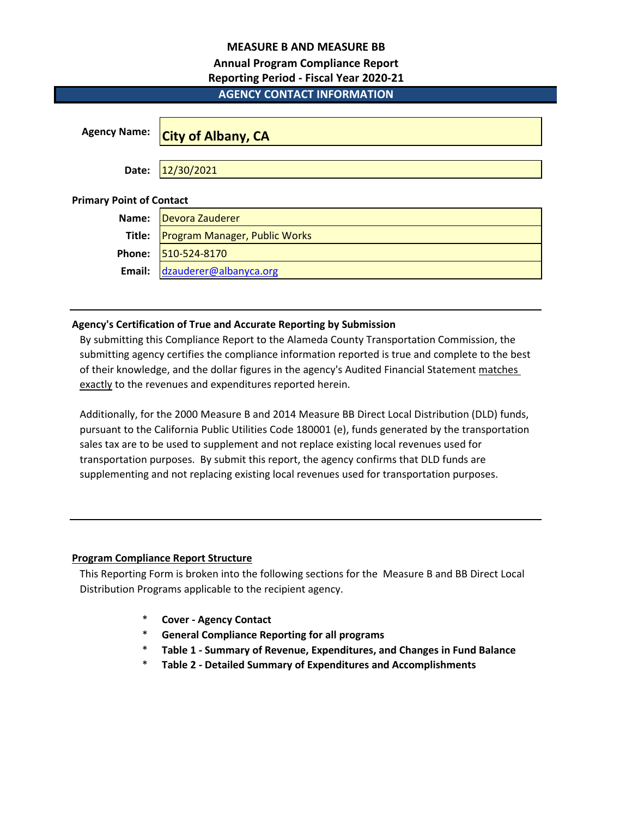## **MEASURE B AND MEASURE BB**

# **Annual Program Compliance Report**

# **Reporting Period - Fiscal Year 2020-21**

# **AGENCY CONTACT INFORMATION**

| <b>Agency Name:</b>             | <b>City of Albany, CA</b>            |
|---------------------------------|--------------------------------------|
| Date:                           | 12/30/2021                           |
| <b>Primary Point of Contact</b> |                                      |
| Name:                           | Devora Zauderer                      |
| Title:                          | <b>Program Manager, Public Works</b> |
| Phone:                          | 510-524-8170                         |
| Email:                          | dzauderer@albanyca.org               |

# **Agency's Certification of True and Accurate Reporting by Submission**

By submitting this Compliance Report to the Alameda County Transportation Commission, the submitting agency certifies the compliance information reported is true and complete to the best of their knowledge, and the dollar figures in the agency's Audited Financial Statement matches exactly to the revenues and expenditures reported herein.

Additionally, for the 2000 Measure B and 2014 Measure BB Direct Local Distribution (DLD) funds, pursuant to the California Public Utilities Code 180001 (e), funds generated by the transportation sales tax are to be used to supplement and not replace existing local revenues used for transportation purposes. By submit this report, the agency confirms that DLD funds are supplementing and not replacing existing local revenues used for transportation purposes.

# **Program Compliance Report Structure**

This Reporting Form is broken into the following sections for the Measure B and BB Direct Local Distribution Programs applicable to the recipient agency.

- \* **Cover Agency Contact**
- \* **General Compliance Reporting for all programs**
- \* **Table 1 Summary of Revenue, Expenditures, and Changes in Fund Balance**
- \* **Table 2 Detailed Summary of Expenditures and Accomplishments**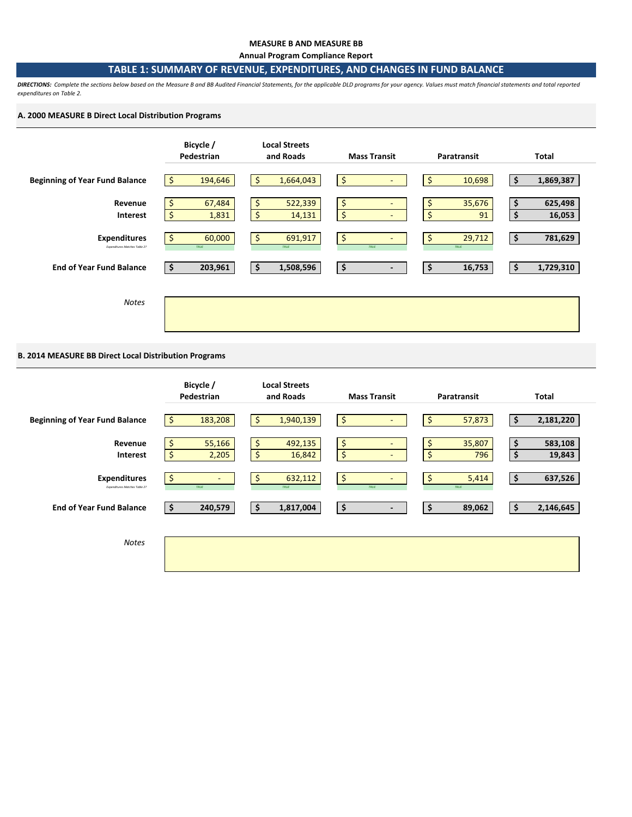### **MEASURE B AND MEASURE BB**

**Annual Program Compliance Report**

### **TABLE 1: SUMMARY OF REVENUE, EXPENDITURES, AND CHANGES IN FUND BALANCE**

*DIRECTIONS: Complete the sections below based on the Measure B and BB Audited Financial Statements, for the applicable DLD programs for your agency. Values must match financial statements and total reported expenditures on Table 2.* 

### **A. 2000 MEASURE B Direct Local Distribution Programs**



### **B. 2014 MEASURE BB Direct Local Distribution Programs**

|                                                      | Bicycle /<br>Pedestrian      | <b>Local Streets</b><br>and Roads | <b>Mass Transit</b>                                  | Paratransit               | Total                         |
|------------------------------------------------------|------------------------------|-----------------------------------|------------------------------------------------------|---------------------------|-------------------------------|
| <b>Beginning of Year Fund Balance</b>                | 183,208                      | \$<br>1,940,139                   | $\ddot{\phi}$<br>۰                                   | \$<br>57,873              | 2,181,220<br>\$               |
| Revenue<br>Interest                                  | 55,166<br>Ś<br>2,205         | \$<br>492,135<br>\$<br>16,842     | $\frac{1}{2}$<br>$\overline{\phantom{a}}$<br>\$<br>٠ | 35,807<br>\$<br>\$<br>796 | \$<br>583,108<br>\$<br>19,843 |
| <b>Expenditures</b><br>Expenditures Matches Table 2? | \$<br>$\blacksquare$<br>TRUE | 632,112<br>Ś<br>TRUE              | \$<br>$\sim$<br>TRUE                                 | \$<br>5,414<br>TRUE       | 637,526<br>\$                 |
| <b>End of Year Fund Balance</b>                      | 240,579<br>-S                | 1,817,004<br>\$                   | $\ddot{\bm{\zeta}}$<br>$\blacksquare$                | 89,062<br>\$              | 2,146,645<br>\$               |
| <b>Notes</b>                                         |                              |                                   |                                                      |                           |                               |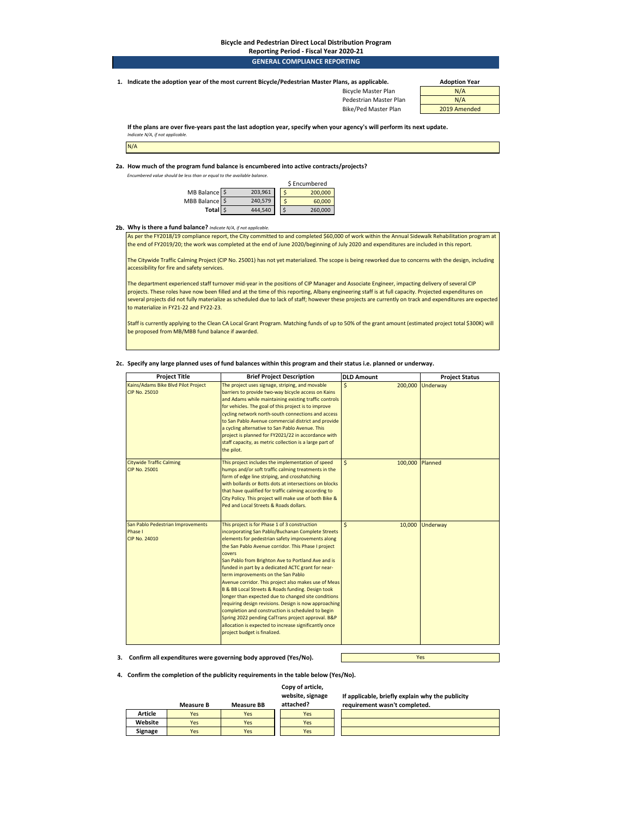### **Bicycle and Pedestrian Direct Local Distribution Program**

| Reporting Period - Fiscal Year 2020-21 |  |
|----------------------------------------|--|
| <b>GENERAL COMPLIANCE REPORTING</b>    |  |
|                                        |  |

**1. Adoption Year Indicate the adoption year of the most current Bicycle/Pedestrian Master Plans, as applicable.** 

Bicycle Master Plan N/A Pedestrian Master Plan

Bike/Ped Master Plan 2019 Amended

**If the plans are over five-years past the last adoption year, specify when your agency's will perform its next update.**  *Indicate N/A, if not applicable.* 

**2a. How much of the program fund balance is encumbered into active contracts/projects?** 

*Encumbered value should be less than or equal to the available balance.* 



### **2b. Why is there a fund balance?** *Indicate N/A, if not applicable.*

As per the FY2018/19 compliance report, the City committed to and completed \$60,000 of work within the Annual Sidewalk Rehabilitation program at the end of FY2019/20; the work was completed at the end of June 2020/beginning of July 2020 and expenditures are included in this report.

The Citywide Traffic Calming Project (CIP No. 25001) has not yet materialized. The scope is being reworked due to concerns with the design, including accessibility for fire and safety services.

The department experienced staff turnover mid-year in the positions of CIP Manager and Associate Engineer, impacting delivery of several CIP projects. These roles have now been filled and at the time of this reporting, Albany engineering staff is at full capacity. Projected expenditures on several projects did not fully materialize as scheduled due to lack of staff; however these projects are currently on track and expenditures are expected to materialize in FY21-22 and FY22-23.

Staff is currently applying to the Clean CA Local Grant Program. Matching funds of up to 50% of the grant amount (estimated project total \$300K) will be proposed from MB/MBB fund balance if awarded.

### **2c. Specify any large planned uses of fund balances within this program and their status i.e. planned or underway.**

| <b>Project Title</b>                                                 | <b>Brief Project Description</b>                                                                                                                                                                                                                                                                                                                                                                                                                                                                                                                                                                                                                                                                                                                                                                            | <b>DLD Amount</b>                     | <b>Project Status</b> |
|----------------------------------------------------------------------|-------------------------------------------------------------------------------------------------------------------------------------------------------------------------------------------------------------------------------------------------------------------------------------------------------------------------------------------------------------------------------------------------------------------------------------------------------------------------------------------------------------------------------------------------------------------------------------------------------------------------------------------------------------------------------------------------------------------------------------------------------------------------------------------------------------|---------------------------------------|-----------------------|
| Kains/Adams Bike Blvd Pilot Project<br><b>CIP No. 25010</b>          | The project uses signage, striping, and movable<br>barriers to provide two-way bicycle access on Kains<br>and Adams while maintaining existing traffic controls<br>for vehicles. The goal of this project is to improve<br>cycling network north-south connections and access<br>to San Pablo Avenue commercial district and provide<br>a cycling alternative to San Pablo Avenue. This<br>project is planned for FY2021/22 in accordance with<br>staff capacity, as metric collection is a large part of<br>the pilot.                                                                                                                                                                                                                                                                                     | $\mathsf{\hat{S}}$<br>200,000         | Underway              |
| <b>Citywide Traffic Calming</b><br><b>CIP No. 25001</b>              | This project includes the implementation of speed<br>humps and/or soft traffic calming treatments in the<br>form of edge line striping, and crosshatching<br>with bollards or Botts dots at intersections on blocks<br>that have qualified for traffic calming according to<br>City Policy. This project will make use of both Bike &<br>Ped and Local Streets & Roads dollars.                                                                                                                                                                                                                                                                                                                                                                                                                             | $\mathsf{\hat{S}}$<br>100,000 Planned |                       |
| San Pablo Pedestrian Improvements<br>Phase I<br><b>CIP No. 24010</b> | This project is for Phase 1 of 3 construction<br>incorporating San Pablo/Buchanan Complete Streets<br>elements for pedestrian safety improvements along<br>the San Pablo Avenue corridor. This Phase I project<br>covers<br>San Pablo from Brighton Ave to Portland Ave and is<br>funded in part by a dedicated ACTC grant for near-<br>term improvements on the San Pablo<br>Avenue corridor. This project also makes use of Meas<br>B & BB Local Streets & Roads funding. Design took<br>longer than expected due to changed site conditions<br>requiring design revisions. Design is now approaching<br>completion and construction is scheduled to begin<br>Spring 2022 pending CalTrans project approval. B&P<br>allocation is expected to increase significantly once<br>project budget is finalized. | $\mathsf{\hat{S}}$<br>10,000          | Underway              |

**3. Confirm all expenditures were governing body approved (Yes/No).**

Yes

**If applicable, briefly explain why the publicity** 

**4. Confirm the completion of the publicity requirements in the table below (Yes/No).**

### **Copy of article,**

### **website, signage**

|         | <b>Measure B</b> | <b>Measure BB</b> | attached? | requirement wasn't completed. |
|---------|------------------|-------------------|-----------|-------------------------------|
| Article | Yes              | Yes               | Yes       |                               |
| Website | Yes              | Yes               | Yes       |                               |
| Signage | Yes              | Yes               | Yes       |                               |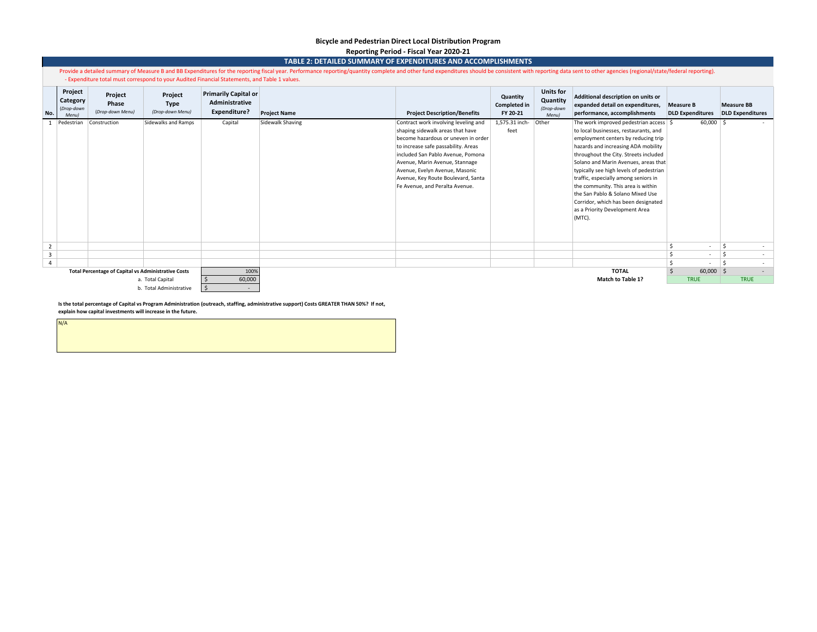### **Bicycle and Pedestrian Direct Local Distribution Program Reporting Period - Fiscal Year 2020-21**

|                            | TABLE 2: DETAILED SUMMARY OF EXPENDITURES AND ACCOMPLISHMENTS                                                                                                                                                                                                                                                                   |                                                            |                                     |                                                                      |                     |                                                                                                                                                                                                                                                                                                                                         |                                      |                                                     |                                                                                                                                                                                                                                                                                                                                                                                                                                                                                                     |                                             |                                              |        |
|----------------------------|---------------------------------------------------------------------------------------------------------------------------------------------------------------------------------------------------------------------------------------------------------------------------------------------------------------------------------|------------------------------------------------------------|-------------------------------------|----------------------------------------------------------------------|---------------------|-----------------------------------------------------------------------------------------------------------------------------------------------------------------------------------------------------------------------------------------------------------------------------------------------------------------------------------------|--------------------------------------|-----------------------------------------------------|-----------------------------------------------------------------------------------------------------------------------------------------------------------------------------------------------------------------------------------------------------------------------------------------------------------------------------------------------------------------------------------------------------------------------------------------------------------------------------------------------------|---------------------------------------------|----------------------------------------------|--------|
|                            | Provide a detailed summary of Measure B and BB Expenditures for the reporting fiscal year. Performance reporting/quantity complete and other fund expenditures should be consistent with reporting data sent to other agencies<br>- Expenditure total must correspond to your Audited Financial Statements, and Table 1 values. |                                                            |                                     |                                                                      |                     |                                                                                                                                                                                                                                                                                                                                         |                                      |                                                     |                                                                                                                                                                                                                                                                                                                                                                                                                                                                                                     |                                             |                                              |        |
| No.                        | Project<br>Category<br>(Drop-down<br>Menu)                                                                                                                                                                                                                                                                                      | Project<br>Phase<br>(Drop-down Menu)                       | Project<br>Type<br>(Drop-down Menu) | <b>Primarily Capital or</b><br>Administrative<br><b>Expenditure?</b> | <b>Project Name</b> | <b>Project Description/Benefits</b>                                                                                                                                                                                                                                                                                                     | Quantity<br>Completed in<br>FY 20-21 | <b>Units for</b><br>Quantity<br>(Drop-down<br>Menu) | Additional description on units or<br>expanded detail on expenditures,<br>performance, accomplishments                                                                                                                                                                                                                                                                                                                                                                                              | <b>Measure B</b><br><b>DLD Expenditures</b> | <b>Measure BB</b><br><b>DLD</b> Expenditures |        |
|                            | Pedestrian                                                                                                                                                                                                                                                                                                                      | Construction                                               | Sidewalks and Ramps                 | Capital                                                              | Sidewalk Shaving    | Contract work involving leveling and<br>shaping sidewalk areas that have<br>become hazardous or uneven in order<br>to increase safe passability. Areas<br>included San Pablo Avenue, Pomona<br>Avenue, Marin Avenue, Stannage<br>Avenue, Evelyn Avenue, Masonic<br>Avenue, Key Route Boulevard, Santa<br>Fe Avenue, and Peralta Avenue. | 1,575.31 inch-<br>feet               | Other                                               | The work improved pedestrian access   \$<br>to local businesses, restaurants, and<br>employment centers by reducing trip<br>hazards and increasing ADA mobility<br>throughout the City. Streets included<br>Solano and Marin Avenues, areas that<br>typically see high levels of pedestrian<br>traffic, especially among seniors in<br>the community. This area is within<br>the San Pablo & Solano Mixed Use<br>Corridor, which has been designated<br>as a Priority Development Area<br>$(MTC)$ . | $60,000$ \$                                 |                                              |        |
| $\overline{2}$             |                                                                                                                                                                                                                                                                                                                                 |                                                            |                                     |                                                                      |                     |                                                                                                                                                                                                                                                                                                                                         |                                      |                                                     |                                                                                                                                                                                                                                                                                                                                                                                                                                                                                                     | Ś<br>$\sim$                                 | Ŝ                                            |        |
| $\overline{\mathbf{3}}$    |                                                                                                                                                                                                                                                                                                                                 |                                                            |                                     |                                                                      |                     |                                                                                                                                                                                                                                                                                                                                         |                                      |                                                     |                                                                                                                                                                                                                                                                                                                                                                                                                                                                                                     | \$<br>$\sim$                                | \$                                           | $\sim$ |
| $\overline{4}$             |                                                                                                                                                                                                                                                                                                                                 |                                                            |                                     |                                                                      |                     |                                                                                                                                                                                                                                                                                                                                         |                                      |                                                     |                                                                                                                                                                                                                                                                                                                                                                                                                                                                                                     |                                             | <sup>\$</sup>                                |        |
|                            |                                                                                                                                                                                                                                                                                                                                 | <b>Total Percentage of Capital vs Administrative Costs</b> |                                     | 100%                                                                 |                     |                                                                                                                                                                                                                                                                                                                                         |                                      |                                                     | <b>TOTAL</b>                                                                                                                                                                                                                                                                                                                                                                                                                                                                                        | $60,000$ \$                                 |                                              |        |
| 60,000<br>a. Total Capital |                                                                                                                                                                                                                                                                                                                                 |                                                            |                                     | <b>Match to Table 1?</b>                                             | <b>TRUE</b>         |                                                                                                                                                                                                                                                                                                                                         | <b>TRUE</b>                          |                                                     |                                                                                                                                                                                                                                                                                                                                                                                                                                                                                                     |                                             |                                              |        |
|                            |                                                                                                                                                                                                                                                                                                                                 |                                                            | b. Total Administrative             | $\sim$                                                               |                     |                                                                                                                                                                                                                                                                                                                                         |                                      |                                                     |                                                                                                                                                                                                                                                                                                                                                                                                                                                                                                     |                                             |                                              |        |

**Is the total percentage of Capital vs Program Administration (outreach, staffing, administrative support) Costs GREATER THAN 50%? If not, explain how capital investments will increase in the future.**

N/A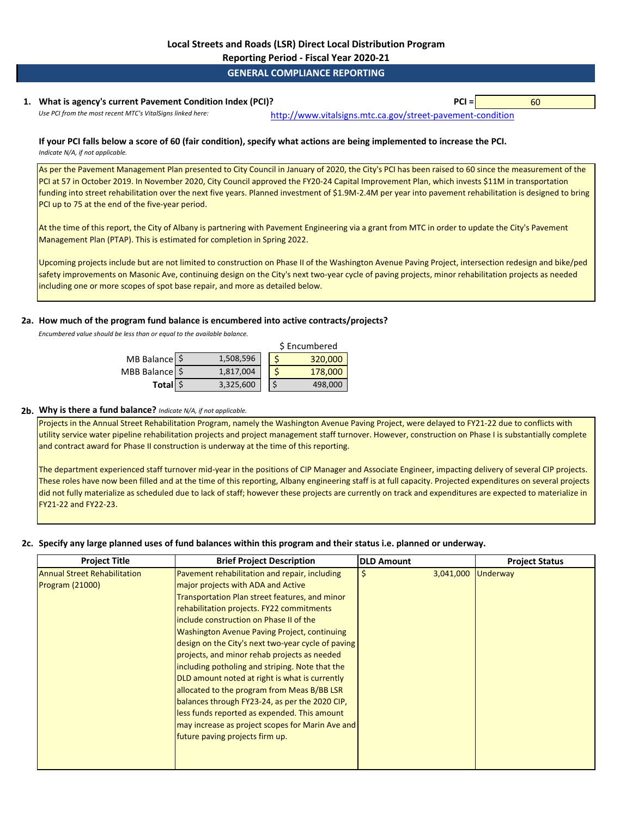**Reporting Period - Fiscal Year 2020-21**

### **GENERAL COMPLIANCE REPORTING**

### **1. PCI =** 60 **What is agency's current Pavement Condition Index (PCI)?**

*Use PCI from the most recent MTC's VitalSigns linked here:* [http://www.vitalsig](http://www.vitalsigns.mtc.ca.gov/street-pavement-condition)ns.mtc.ca.gov/street-pavement-condition

### **If your PCI falls below a score of 60 (fair condition), specify what actions are being implemented to increase the PCI.**  *Indicate N/A, if not applicable.*

As per the Pavement Management Plan presented to City Council in January of 2020, the City's PCI has been raised to 60 since the measurement of the PCI at 57 in October 2019. In November 2020, City Council approved the FY20-24 Capital Improvement Plan, which invests \$11M in transportation funding into street rehabilitation over the next five years. Planned investment of \$1.9M-2.4M per year into pavement rehabilitation is designed to bring PCI up to 75 at the end of the five-year period.

At the time of this report, the City of Albany is partnering with Pavement Engineering via a grant from MTC in order to update the City's Pavement Management Plan (PTAP). This is estimated for completion in Spring 2022.

Upcoming projects include but are not limited to construction on Phase II of the Washington Avenue Paving Project, intersection redesign and bike/ped safety improvements on Masonic Ave, continuing design on the City's next two-year cycle of paving projects, minor rehabilitation projects as needed including one or more scopes of spot base repair, and more as detailed below.

### **2a. How much of the program fund balance is encumbered into active contracts/projects?**

*Encumbered value should be less than or equal to the available balance.* 

|                |           | \$ Encumbered |         |  |  |
|----------------|-----------|---------------|---------|--|--|
| MB Balance \$  | 1,508,596 |               | 320,000 |  |  |
| MBB Balance \$ | 1,817,004 |               | 178,000 |  |  |
| Total \$       | 3,325,600 |               | 498,000 |  |  |

### **2b. Why is there a fund balance?** *Indicate N/A, if not applicable.*

Projects in the Annual Street Rehabilitation Program, namely the Washington Avenue Paving Project, were delayed to FY21-22 due to conflicts with utility service water pipeline rehabilitation projects and project management staff turnover. However, construction on Phase I is substantially complete and contract award for Phase II construction is underway at the time of this reporting.

The department experienced staff turnover mid-year in the positions of CIP Manager and Associate Engineer, impacting delivery of several CIP projects. These roles have now been filled and at the time of this reporting, Albany engineering staff is at full capacity. Projected expenditures on several projects did not fully materialize as scheduled due to lack of staff; however these projects are currently on track and expenditures are expected to materialize in FY21-22 and FY22-23.

# **2c. Specify any large planned uses of fund balances within this program and their status i.e. planned or underway.**

| <b>Project Title</b>                | <b>Brief Project Description</b>                   | <b>DLD Amount</b> | <b>Project Status</b> |
|-------------------------------------|----------------------------------------------------|-------------------|-----------------------|
| <b>Annual Street Rehabilitation</b> | Pavement rehabilitation and repair, including      | 3,041,000         | Underway              |
| <b>Program (21000)</b>              | major projects with ADA and Active                 |                   |                       |
|                                     | Transportation Plan street features, and minor     |                   |                       |
|                                     | rehabilitation projects. FY22 commitments          |                   |                       |
|                                     | include construction on Phase II of the            |                   |                       |
|                                     | Washington Avenue Paving Project, continuing       |                   |                       |
|                                     | design on the City's next two-year cycle of paving |                   |                       |
|                                     | projects, and minor rehab projects as needed       |                   |                       |
|                                     | including potholing and striping. Note that the    |                   |                       |
|                                     | DLD amount noted at right is what is currently     |                   |                       |
|                                     | allocated to the program from Meas B/BB LSR        |                   |                       |
|                                     | balances through FY23-24, as per the 2020 CIP,     |                   |                       |
|                                     | less funds reported as expended. This amount       |                   |                       |
|                                     | may increase as project scopes for Marin Ave and   |                   |                       |
|                                     | future paving projects firm up.                    |                   |                       |
|                                     |                                                    |                   |                       |
|                                     |                                                    |                   |                       |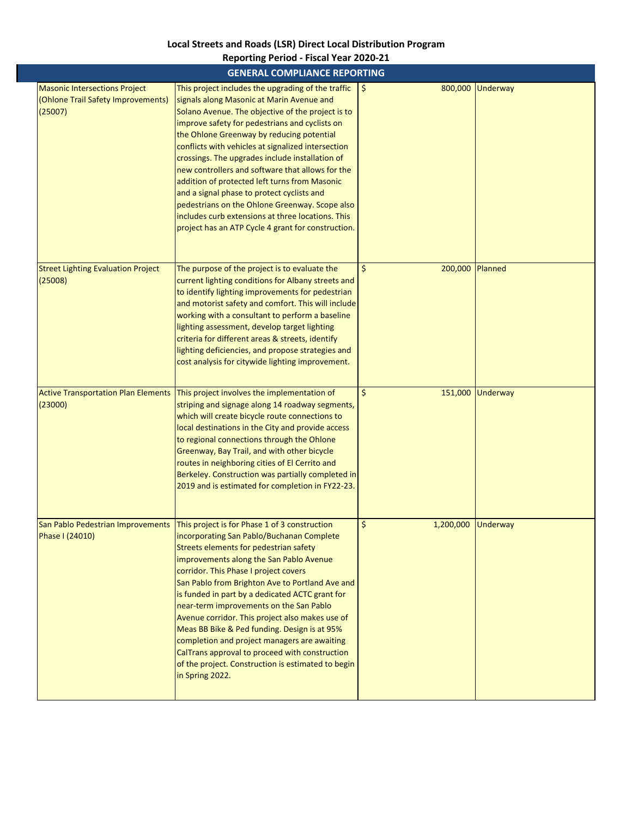# **Local Streets and Roads (LSR) Direct Local Distribution Program**

|                                                                                       | <b>GENERAL COMPLIANCE REPORTING</b>                                                                                                                                                                                                                                                                                                                                                                                                                                                                                                                                                                                                                                                         |                               |                  |
|---------------------------------------------------------------------------------------|---------------------------------------------------------------------------------------------------------------------------------------------------------------------------------------------------------------------------------------------------------------------------------------------------------------------------------------------------------------------------------------------------------------------------------------------------------------------------------------------------------------------------------------------------------------------------------------------------------------------------------------------------------------------------------------------|-------------------------------|------------------|
| <b>Masonic Intersections Project</b><br>(Ohlone Trail Safety Improvements)<br>(25007) | This project includes the upgrading of the traffic<br>signals along Masonic at Marin Avenue and<br>Solano Avenue. The objective of the project is to<br>improve safety for pedestrians and cyclists on<br>the Ohlone Greenway by reducing potential<br>conflicts with vehicles at signalized intersection<br>crossings. The upgrades include installation of<br>new controllers and software that allows for the<br>addition of protected left turns from Masonic<br>and a signal phase to protect cyclists and<br>pedestrians on the Ohlone Greenway. Scope also<br>includes curb extensions at three locations. This<br>project has an ATP Cycle 4 grant for construction.                | \$<br>800,000                 | Underway         |
| <b>Street Lighting Evaluation Project</b><br>(25008)                                  | The purpose of the project is to evaluate the<br>current lighting conditions for Albany streets and<br>to identify lighting improvements for pedestrian<br>and motorist safety and comfort. This will include<br>working with a consultant to perform a baseline<br>lighting assessment, develop target lighting<br>criteria for different areas & streets, identify<br>lighting deficiencies, and propose strategies and<br>cost analysis for citywide lighting improvement.                                                                                                                                                                                                               | \$<br>200,000 Planned         |                  |
| <b>Active Transportation Plan Elements</b><br>(23000)                                 | This project involves the implementation of<br>striping and signage along 14 roadway segments,<br>which will create bicycle route connections to<br>local destinations in the City and provide access<br>to regional connections through the Ohlone<br>Greenway, Bay Trail, and with other bicycle<br>routes in neighboring cities of El Cerrito and<br>Berkeley. Construction was partially completed in<br>2019 and is estimated for completion in FY22-23.                                                                                                                                                                                                                               | \$                            | 151,000 Underway |
| Phase I (24010)                                                                       | San Pablo Pedestrian Improvements   This project is for Phase 1 of 3 construction<br>incorporating San Pablo/Buchanan Complete<br>Streets elements for pedestrian safety<br>improvements along the San Pablo Avenue<br>corridor. This Phase I project covers<br>San Pablo from Brighton Ave to Portland Ave and<br>is funded in part by a dedicated ACTC grant for<br>near-term improvements on the San Pablo<br>Avenue corridor. This project also makes use of<br>Meas BB Bike & Ped funding. Design is at 95%<br>completion and project managers are awaiting<br>CalTrans approval to proceed with construction<br>of the project. Construction is estimated to begin<br>in Spring 2022. | $\zeta$<br>1,200,000 Underway |                  |

# **Reporting Period - Fiscal Year 2020-21**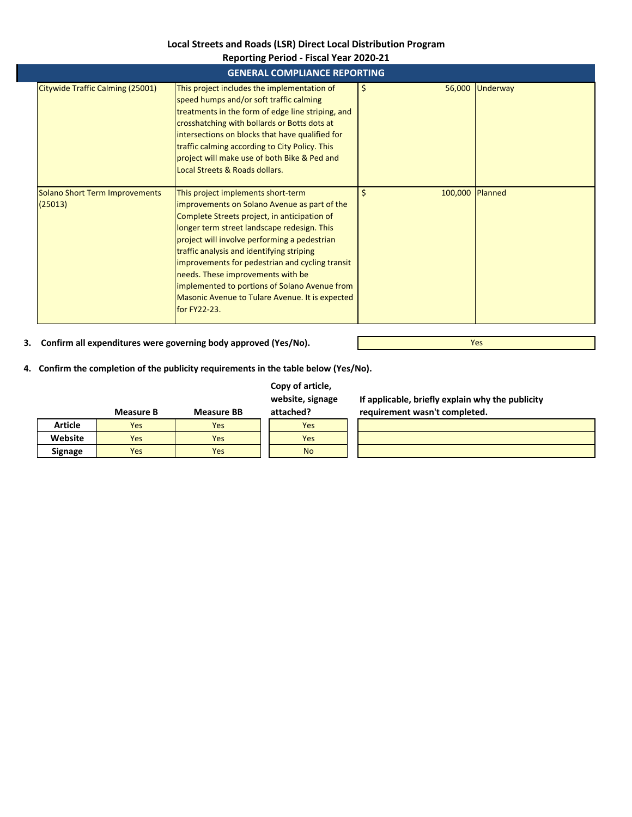# **Local Streets and Roads (LSR) Direct Local Distribution Program**

|                                           | <b>Reporting Period - Fiscal Year 2020-21</b>                                                                                                                                                                                                                                                                                                                                                                                                                                              |                       |                 |  |  |  |  |
|-------------------------------------------|--------------------------------------------------------------------------------------------------------------------------------------------------------------------------------------------------------------------------------------------------------------------------------------------------------------------------------------------------------------------------------------------------------------------------------------------------------------------------------------------|-----------------------|-----------------|--|--|--|--|
|                                           | <b>GENERAL COMPLIANCE REPORTING</b>                                                                                                                                                                                                                                                                                                                                                                                                                                                        |                       |                 |  |  |  |  |
| Citywide Traffic Calming (25001)          | This project includes the implementation of<br>speed humps and/or soft traffic calming<br>treatments in the form of edge line striping, and<br>crosshatching with bollards or Botts dots at<br>intersections on blocks that have qualified for<br>traffic calming according to City Policy. This<br>project will make use of both Bike & Ped and<br>Local Streets & Roads dollars.                                                                                                         | 56,000<br>\$          | <b>Underway</b> |  |  |  |  |
| Solano Short Term Improvements<br>(25013) | This project implements short-term<br>improvements on Solano Avenue as part of the<br>Complete Streets project, in anticipation of<br>longer term street landscape redesign. This<br>project will involve performing a pedestrian<br>traffic analysis and identifying striping<br>improvements for pedestrian and cycling transit<br>needs. These improvements with be<br>implemented to portions of Solano Avenue from<br>Masonic Avenue to Tulare Avenue. It is expected<br>for FY22-23. | \$<br>100,000 Planned |                 |  |  |  |  |

**3. Confirm all expenditures were governing body approved (Yes/No).**

**4. Confirm the completion of the publicity requirements in the table below (Yes/No).**

# **Copy of article, website, signage**

**If applicable, briefly explain why the publicity**  mpleted.

Yes

|                | Measure B | <b>Measure BB</b> | attached? | requirement wasn't con |
|----------------|-----------|-------------------|-----------|------------------------|
| <b>Article</b> | Yes       | Yes               | Yes       |                        |
| Website        | Yes       | Yes               | Yes       |                        |
| <b>Signage</b> | Yes       | Yes               | <b>No</b> |                        |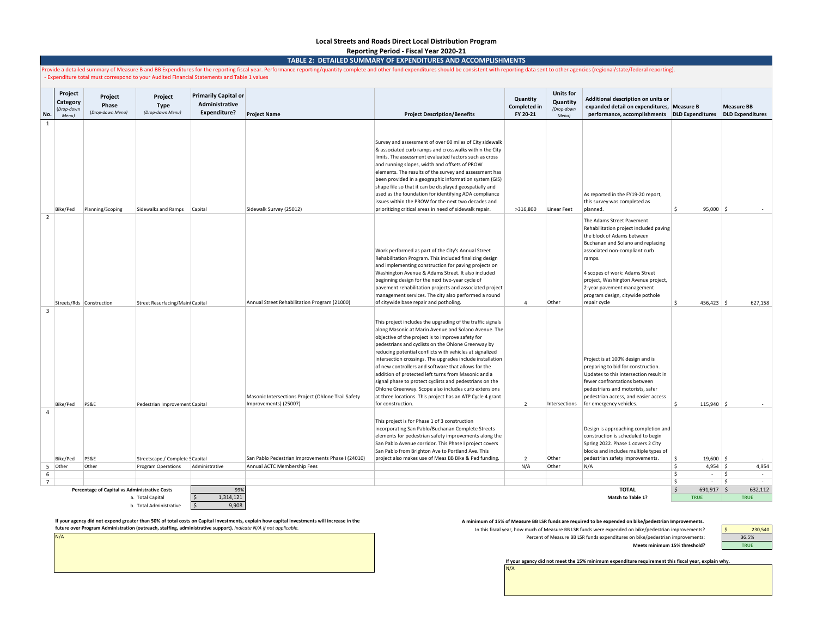### **Local Streets and Roads Direct Local Distribution Program**

**Reporting Period - Fiscal Year 2020-21**

**TABLE 2: DETAILED SUMMARY OF EXPENDITURES AND ACCOMPLISHMENTS**

|                | Provide a detailed summary of Measure B and BB Expenditures for the reporting fiscal year. Performance reporting/quantity complete and other fund expenditures should be consistent with reporting data sent to other agencies<br>Expenditure total must correspond to your Audited Financial Statements and Table 1 values |                                               |                                             |                                                                      |                                                                             |                                                                                                                                                                                                                                                                                                                                                                                                                                                                                                                                                                                                                                                                           |                                             |                                                     |                                                                                                                                                                                                                                                                                                                                              |                         |                                              |
|----------------|-----------------------------------------------------------------------------------------------------------------------------------------------------------------------------------------------------------------------------------------------------------------------------------------------------------------------------|-----------------------------------------------|---------------------------------------------|----------------------------------------------------------------------|-----------------------------------------------------------------------------|---------------------------------------------------------------------------------------------------------------------------------------------------------------------------------------------------------------------------------------------------------------------------------------------------------------------------------------------------------------------------------------------------------------------------------------------------------------------------------------------------------------------------------------------------------------------------------------------------------------------------------------------------------------------------|---------------------------------------------|-----------------------------------------------------|----------------------------------------------------------------------------------------------------------------------------------------------------------------------------------------------------------------------------------------------------------------------------------------------------------------------------------------------|-------------------------|----------------------------------------------|
| No.            | Project<br>Category<br>(Drop-down<br>Menu)                                                                                                                                                                                                                                                                                  | Project<br>Phase<br>(Drop-down Menu)          | Project<br><b>Type</b><br>(Drop-down Menu)  | <b>Primarily Capital or</b><br>Administrative<br><b>Expenditure?</b> | <b>Project Name</b>                                                         | <b>Project Description/Benefits</b>                                                                                                                                                                                                                                                                                                                                                                                                                                                                                                                                                                                                                                       | Quantity<br><b>Completed in</b><br>FY 20-21 | <b>Units for</b><br>Quantity<br>(Drop-down<br>Menu) | Additional description on units or<br>expanded detail on expenditures, Measure B<br>performance, accomplishments                                                                                                                                                                                                                             | <b>DLD Expenditures</b> | <b>Measure BB</b><br><b>DLD Expenditures</b> |
| 1              |                                                                                                                                                                                                                                                                                                                             |                                               |                                             |                                                                      |                                                                             |                                                                                                                                                                                                                                                                                                                                                                                                                                                                                                                                                                                                                                                                           |                                             |                                                     |                                                                                                                                                                                                                                                                                                                                              |                         |                                              |
|                | Bike/Ped                                                                                                                                                                                                                                                                                                                    | Planning/Scoping                              | Sidewalks and Ramps Capital                 |                                                                      | Sidewalk Survey (25012)                                                     | Survey and assessment of over 60 miles of City sidewalk<br>& associated curb ramps and crosswalks within the City<br>limits. The assessment evaluated factors such as cross<br>and running slopes, width and offsets of PROW<br>elements. The results of the survey and assessment has<br>been provided in a geographic information system (GIS)<br>shape file so that it can be displayed geospatially and<br>used as the foundation for identifying ADA compliance<br>issues within the PROW for the next two decades and<br>prioritizing critical areas in need of sidewalk repair.                                                                                    | >316,800                                    | Linear Feet                                         | As reported in the FY19-20 report,<br>this survey was completed as<br>planned.                                                                                                                                                                                                                                                               | Ŝ.<br>$95,000$ \$       |                                              |
| $\overline{2}$ |                                                                                                                                                                                                                                                                                                                             | Streets/Rds Construction                      | Street Resurfacing/Main Capital             |                                                                      | Annual Street Rehabilitation Program (21000)                                | Work performed as part of the City's Annual Street<br>Rehabilitation Program. This included finalizing design<br>and implementing construction for paving projects on<br>Washington Avenue & Adams Street. It also included<br>beginning design for the next two-year cycle of<br>pavement rehabilitation projects and associated project<br>management services. The city also performed a round<br>of citywide base repair and potholing.                                                                                                                                                                                                                               | $\Delta$                                    | Other                                               | The Adams Street Pavement<br>Rehabilitation project included paving<br>the block of Adams between<br>Buchanan and Solano and replacing<br>associated non-compliant curb<br>ramps.<br>4 scopes of work: Adams Street<br>project, Washington Avenue project,<br>2-year pavement management<br>program design, citywide pothole<br>repair cycle | Ŝ.<br>456,423           | 627,158                                      |
| 3              | Bike/Ped                                                                                                                                                                                                                                                                                                                    | PS&E                                          | Pedestrian Improvement Capital              |                                                                      | Masonic Intersections Project (Ohlone Trail Safety<br>Improvements) (25007) | This project includes the upgrading of the traffic signals<br>along Masonic at Marin Avenue and Solano Avenue. The<br>objective of the project is to improve safety for<br>pedestrians and cyclists on the Ohlone Greenway by<br>reducing potential conflicts with vehicles at signalized<br>intersection crossings. The upgrades include installation<br>of new controllers and software that allows for the<br>addition of protected left turns from Masonic and a<br>signal phase to protect cyclists and pedestrians on the<br>Ohlone Greenway. Scope also includes curb extensions<br>at three locations. This project has an ATP Cycle 4 grant<br>for construction. | $\overline{\phantom{a}}$                    | Intersections                                       | Project is at 100% design and is<br>preparing to bid for construction.<br>Updates to this intersection result in<br>fewer confrontations between<br>pedestrians and motorists, safer<br>pedestrian access, and easier access<br>for emergency vehicles.                                                                                      | Š.<br>$115,940$ \$      |                                              |
| $\overline{a}$ | Bike/Ped                                                                                                                                                                                                                                                                                                                    | PS&E                                          | Streetscape / Complete § Capital            |                                                                      | San Pablo Pedestrian Improvements Phase I (24010)                           | This project is for Phase 1 of 3 construction<br>incorporating San Pablo/Buchanan Complete Streets<br>elements for pedestrian safety improvements along the<br>San Pablo Avenue corridor. This Phase I project covers<br>San Pablo from Brighton Ave to Portland Ave. This<br>project also makes use of Meas BB Bike & Ped funding.                                                                                                                                                                                                                                                                                                                                       | $\overline{2}$                              | Other                                               | Design is approaching completion and<br>construction is scheduled to begin<br>Spring 2022. Phase 1 covers 2 City<br>blocks and includes multiple types of<br>pedestrian safety improvements.                                                                                                                                                 | Ŝ.<br>$19,600$ \$       |                                              |
|                | 5 Other                                                                                                                                                                                                                                                                                                                     | Other                                         | <b>Program Operations</b>                   | Administrative                                                       | Annual ACTC Membership Fees                                                 |                                                                                                                                                                                                                                                                                                                                                                                                                                                                                                                                                                                                                                                                           | N/A                                         | Other                                               | N/A                                                                                                                                                                                                                                                                                                                                          | \$<br>$4,954$ \$        | 4,954                                        |
| 6              |                                                                                                                                                                                                                                                                                                                             |                                               |                                             |                                                                      |                                                                             |                                                                                                                                                                                                                                                                                                                                                                                                                                                                                                                                                                                                                                                                           |                                             |                                                     |                                                                                                                                                                                                                                                                                                                                              | \$<br>$\sim$            | $\vert$ \$<br>$\sim$                         |
| 7              |                                                                                                                                                                                                                                                                                                                             |                                               |                                             |                                                                      |                                                                             |                                                                                                                                                                                                                                                                                                                                                                                                                                                                                                                                                                                                                                                                           |                                             |                                                     |                                                                                                                                                                                                                                                                                                                                              | $\mathsf{s}$<br>$\sim$  | $\vert$ \$<br>$\sim$                         |
|                |                                                                                                                                                                                                                                                                                                                             | Percentage of Capital vs Administrative Costs |                                             | 99%<br>1.314.121                                                     |                                                                             |                                                                                                                                                                                                                                                                                                                                                                                                                                                                                                                                                                                                                                                                           |                                             |                                                     | <b>TOTAL</b>                                                                                                                                                                                                                                                                                                                                 | $\zeta$<br>691,917 \$   | 632,112                                      |
|                |                                                                                                                                                                                                                                                                                                                             |                                               | a. Total Capital<br>b. Total Administrative | $\mathsf{\hat{S}}$<br>9,908                                          |                                                                             |                                                                                                                                                                                                                                                                                                                                                                                                                                                                                                                                                                                                                                                                           |                                             |                                                     | Match to Table 1?                                                                                                                                                                                                                                                                                                                            | <b>TRUE</b>             | <b>TRUE</b>                                  |

If your agency did not expend greater than 50% of total costs on Capital Investments, explain how capital investments will increase in the Aminimum of 15% of Measure BB LSR funds are required to be expended on bike/pedestr **future over Program Administration (outreach, staffing, administrative support).** *Indicate N/A if not applicable.* 

N/A

In this fiscal year, how much of Measure BB LSR funds were expended on bike/pedestrian improvements? Percent of Measure BB LSR funds expenditures on bike/pedestrian improvements: **Meets minimum 15% threshold?**

230,540 36.5% TRUE

**If your agency did not meet the 15% minimum expenditure requirement this fiscal year, explain why.**

N/A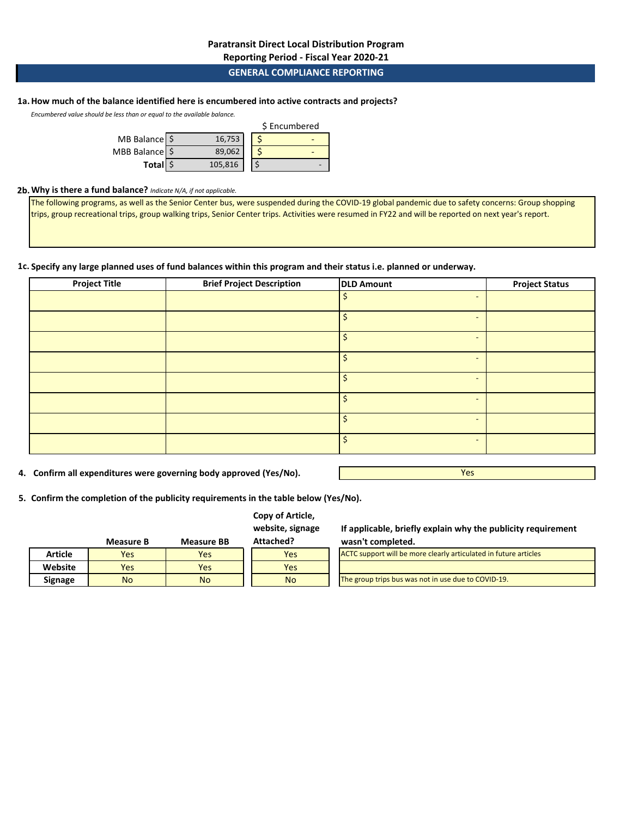**Reporting Period - Fiscal Year 2020-21**

### **GENERAL COMPLIANCE REPORTING**

# **1a.How much of the balance identified here is encumbered into active contracts and projects?**

*Encumbered value should be less than or equal to the available balance.* 

|                          | \$ Encumbered |  |
|--------------------------|---------------|--|
| MB Balance $\frac{1}{2}$ | 16,753        |  |
| MBB Balance S            | 89,062        |  |
| Total \$                 | 105,816       |  |

### **2b.Why is there a fund balance?** *Indicate N/A, if not applicable.*

The following programs, as well as the Senior Center bus, were suspended during the COVID-19 global pandemic due to safety concerns: Group shopping trips, group recreational trips, group walking trips, Senior Center trips. Activities were resumed in FY22 and will be reported on next year's report.

### **1c. Specify any large planned uses of fund balances within this program and their status i.e. planned or underway.**

| <b>Project Title</b> | <b>Brief Project Description</b> | <b>DLD Amount</b> | <b>Project Status</b>    |  |
|----------------------|----------------------------------|-------------------|--------------------------|--|
|                      |                                  |                   | -                        |  |
|                      |                                  |                   | $\overline{\phantom{0}}$ |  |
|                      |                                  |                   | -                        |  |
|                      |                                  | Ś                 | -                        |  |
|                      |                                  |                   | $\overline{\phantom{a}}$ |  |
|                      |                                  |                   | -                        |  |
|                      |                                  | Ś                 | $\overline{\phantom{0}}$ |  |
|                      |                                  |                   | $\overline{\phantom{0}}$ |  |

**4. Confirm all expenditures were governing body approved (Yes/No).**

Yes

**5. Confirm the completion of the publicity requirements in the table below (Yes/No).**

### **Copy of Article, website, signage**

|         | Measure B | <b>Measure BB</b> | Attached? |
|---------|-----------|-------------------|-----------|
| Article | Yes       | Yes               | Yes       |
| Website | Yes       | Yes               | Yes.      |
| Signage | No        | No                | No        |

**If applicable, briefly explain why the publicity requirement wasn't completed.**

| ACTC support will be more clearly articulated in future articles |  |  |  |  |  |
|------------------------------------------------------------------|--|--|--|--|--|
|                                                                  |  |  |  |  |  |
| The group trips bus was not in use due to COVID-19.              |  |  |  |  |  |